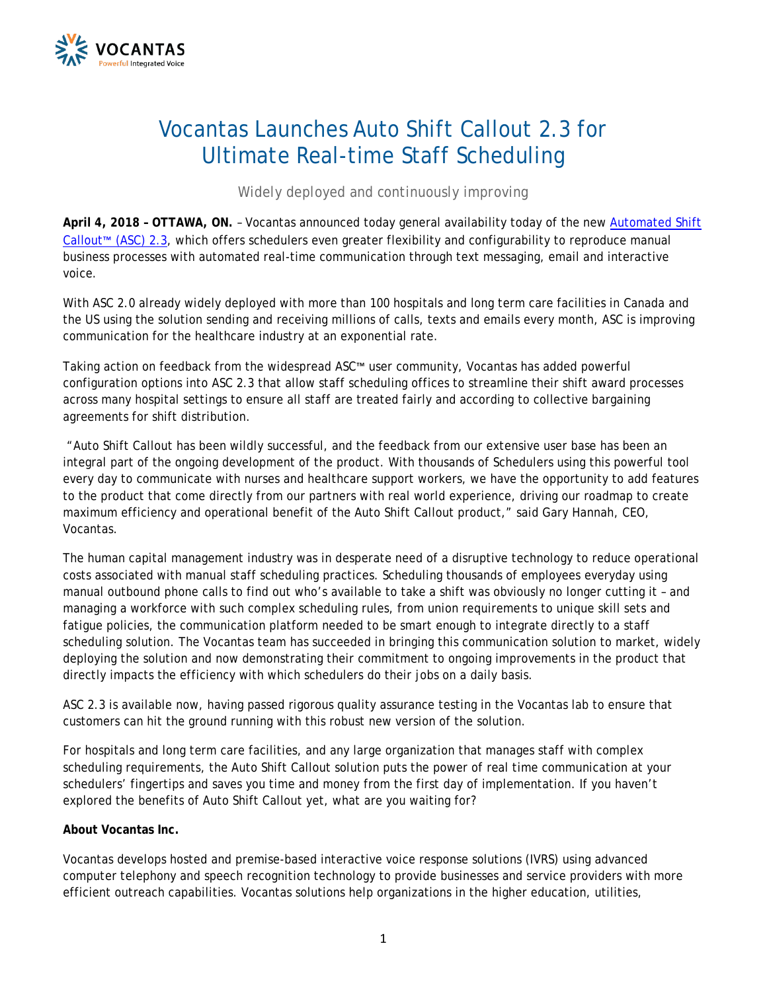

## Vocantas Launches Auto Shift Callout 2.3 for Ultimate Real-time Staff Scheduling

*Widely deployed and continuously improving*

**April 4, 2018 – OTTAWA, ON.** – Vocantas announced today general availability today of the new [Automated Shift](http://vocantas.com/products/auto-shift-callout)  [Callout](http://vocantas.com/products/auto-shift-callout)™ (ASC) 2.3, which offers schedulers even greater flexibility and configurability to reproduce manual business processes with automated real-time communication through text messaging, email and interactive voice.

With ASC 2.0 already widely deployed with more than 100 hospitals and long term care facilities in Canada and the US using the solution sending and receiving millions of calls, texts and emails every month, ASC is improving communication for the healthcare industry at an exponential rate.

Taking action on feedback from the widespread ASC™ user community, Vocantas has added powerful configuration options into ASC 2.3 that allow staff scheduling offices to streamline their shift award processes across many hospital settings to ensure all staff are treated fairly and according to collective bargaining agreements for shift distribution.

"Auto Shift Callout has been wildly successful, and the feedback from our extensive user base has been an integral part of the ongoing development of the product. With thousands of Schedulers using this powerful tool every day to communicate with nurses and healthcare support workers, we have the opportunity to add features to the product that come directly from our partners with real world experience, driving our roadmap to create maximum efficiency and operational benefit of the Auto Shift Callout product," said Gary Hannah, CEO, Vocantas.

The human capital management industry was in desperate need of a disruptive technology to reduce operational costs associated with manual staff scheduling practices. Scheduling thousands of employees everyday using manual outbound phone calls to find out who's available to take a shift was obviously no longer cutting it – and managing a workforce with such complex scheduling rules, from union requirements to unique skill sets and fatigue policies, the communication platform needed to be smart enough to integrate directly to a staff scheduling solution. The Vocantas team has succeeded in bringing this communication solution to market, widely deploying the solution and now demonstrating their commitment to ongoing improvements in the product that directly impacts the efficiency with which schedulers do their jobs on a daily basis.

ASC 2.3 is available now, having passed rigorous quality assurance testing in the Vocantas lab to ensure that customers can hit the ground running with this robust new version of the solution.

For hospitals and long term care facilities, and any large organization that manages staff with complex scheduling requirements, the Auto Shift Callout solution puts the power of real time communication at your schedulers' fingertips and saves you time and money from the first day of implementation. If you haven't explored the benefits of Auto Shift Callout yet, what are you waiting for?

## **About Vocantas Inc.**

Vocantas develops hosted and premise-based interactive voice response solutions (IVRS) using advanced computer telephony and speech recognition technology to provide businesses and service providers with more efficient outreach capabilities. Vocantas solutions help organizations in the higher education, utilities,